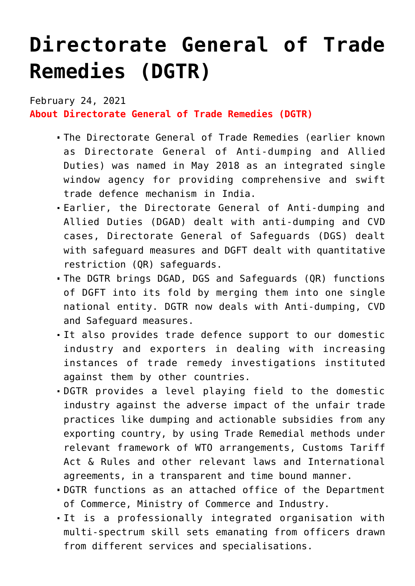## **[Directorate General of Trade](https://journalsofindia.com/directorate-general-of-trade-remedies-dgtr/) [Remedies \(DGTR\)](https://journalsofindia.com/directorate-general-of-trade-remedies-dgtr/)**

February 24, 2021 **About Directorate General of Trade Remedies (DGTR)**

- The Directorate General of Trade Remedies (earlier known as Directorate General of Anti-dumping and Allied Duties) was named in May 2018 as an integrated single window agency for providing comprehensive and swift trade defence mechanism in India.
- Earlier, the Directorate General of Anti-dumping and Allied Duties (DGAD) dealt with anti-dumping and CVD cases, Directorate General of Safeguards (DGS) dealt with safeguard measures and DGFT dealt with quantitative restriction (QR) safeguards.
- The DGTR brings DGAD, DGS and Safeguards (QR) functions of DGFT into its fold by merging them into one single national entity. DGTR now deals with Anti-dumping, CVD and Safeguard measures.
- It also provides trade defence support to our domestic industry and exporters in dealing with increasing instances of trade remedy investigations instituted against them by other countries.
- DGTR provides a level playing field to the domestic industry against the adverse impact of the unfair trade practices like dumping and actionable subsidies from any exporting country, by using Trade Remedial methods under relevant framework of WTO arrangements, Customs Tariff Act & Rules and other relevant laws and International agreements, in a transparent and time bound manner.
- DGTR functions as an attached office of the Department of Commerce, Ministry of Commerce and Industry.
- It is a professionally integrated organisation with multi-spectrum skill sets emanating from officers drawn from different services and specialisations.